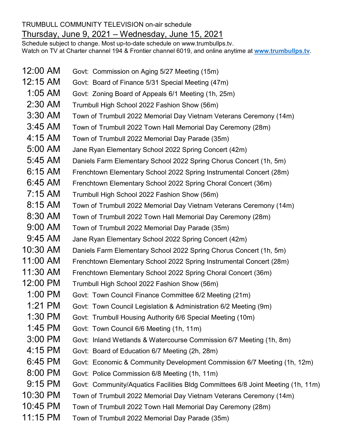## TRUMBULL COMMUNITY TELEVISION on-air schedule

## Thursday, June 9, 2021 – Wednesday, June 15, 2021

Schedule subject to change. Most up-to-date schedule on www.trumbullps.tv. Watch on TV at Charter channel 194 & Frontier channel 6019, and online anytime at **www.trumbullps.tv**.

- 12:00 AM Govt: Commission on Aging 5/27 Meeting (15m)
- 12:15 AM Govt: Board of Finance 5/31 Special Meeting (47m)
- 1:05 AM Govt: Zoning Board of Appeals 6/1 Meeting (1h, 25m)
- 2:30 AM Trumbull High School 2022 Fashion Show (56m)
- 3:30 AM Town of Trumbull 2022 Memorial Day Vietnam Veterans Ceremony (14m)
- 3:45 AM Town of Trumbull 2022 Town Hall Memorial Day Ceremony (28m)
- 4:15 AM Town of Trumbull 2022 Memorial Day Parade (35m)
- 5:00 AM Jane Ryan Elementary School 2022 Spring Concert (42m)
- 5:45 AM Daniels Farm Elementary School 2022 Spring Chorus Concert (1h, 5m)
- 6:15 AM Frenchtown Elementary School 2022 Spring Instrumental Concert (28m)
- 6:45 AM Frenchtown Elementary School 2022 Spring Choral Concert (36m)
- 7:15 AM Trumbull High School 2022 Fashion Show (56m)
- 8:15 AM Town of Trumbull 2022 Memorial Day Vietnam Veterans Ceremony (14m)
- 8:30 AM Town of Trumbull 2022 Town Hall Memorial Day Ceremony (28m)
- 9:00 AM Town of Trumbull 2022 Memorial Day Parade (35m)
- 9:45 AM Jane Ryan Elementary School 2022 Spring Concert (42m)
- 10:30 AM Daniels Farm Elementary School 2022 Spring Chorus Concert (1h, 5m)
- 11:00 AM Frenchtown Elementary School 2022 Spring Instrumental Concert (28m)
- 11:30 AM Frenchtown Elementary School 2022 Spring Choral Concert (36m)
- 12:00 PM Trumbull High School 2022 Fashion Show (56m)
- 1:00 PM Govt: Town Council Finance Committee 6/2 Meeting (21m)
- 1:21 PM Govt: Town Council Legislation & Administration 6/2 Meeting (9m)
- 1:30 PM Govt: Trumbull Housing Authority 6/6 Special Meeting (10m)
- 1:45 PM Govt: Town Council 6/6 Meeting (1h, 11m)
- 3:00 PM Govt: Inland Wetlands & Watercourse Commission 6/7 Meeting (1h, 8m)
- 4:15 PM Govt: Board of Education 6/7 Meeting (2h, 28m)
- 6:45 PM Govt: Economic & Community Development Commission 6/7 Meeting (1h, 12m)
- 8:00 PM Govt: Police Commission 6/8 Meeting (1h, 11m)
- 9:15 PM Govt: Community/Aquatics Facilities Bldg Committees 6/8 Joint Meeting (1h, 11m)
- 10:30 PM Town of Trumbull 2022 Memorial Day Vietnam Veterans Ceremony (14m)
- 10:45 PM Town of Trumbull 2022 Town Hall Memorial Day Ceremony (28m)
- 11:15 PM Town of Trumbull 2022 Memorial Day Parade (35m)